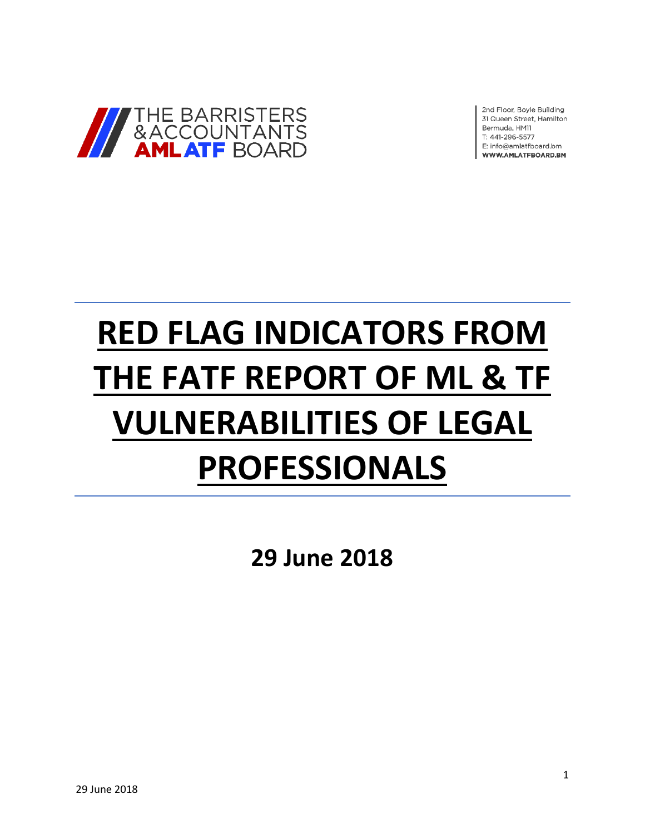

2nd Floor, Boyle Building 31 Queen Street, Hamilton Bermuda, HM11 T: 441-296-5577 E: info@amlatfboard.bm WWW.AMLATFBOARD.BM

# **RED FLAG INDICATORS FROM THE FATF REPORT OF ML & TF VULNERABILITIES OF LEGAL PROFESSIONALS**

**29 June 2018**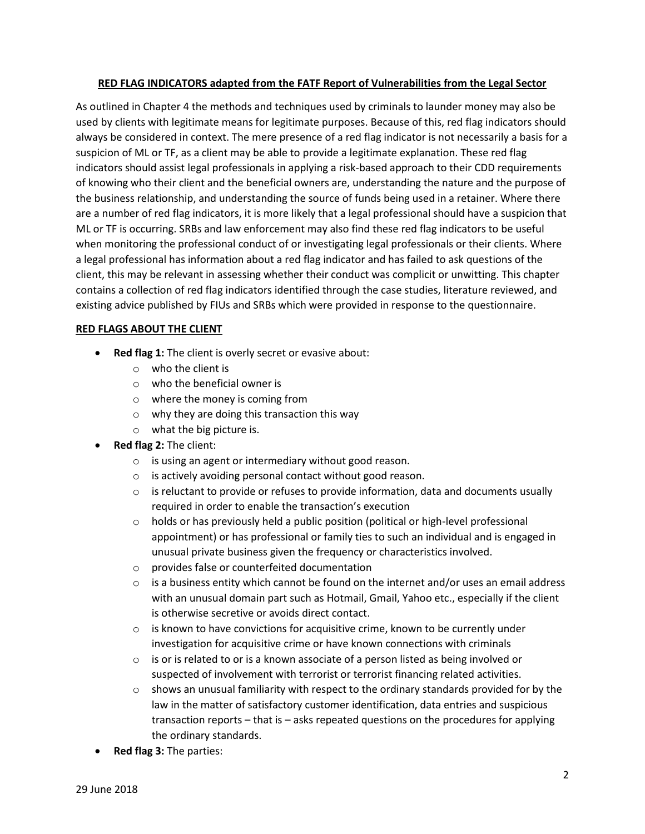### **RED FLAG INDICATORS adapted from the FATF Report of Vulnerabilities from the Legal Sector**

As outlined in Chapter 4 the methods and techniques used by criminals to launder money may also be used by clients with legitimate means for legitimate purposes. Because of this, red flag indicators should always be considered in context. The mere presence of a red flag indicator is not necessarily a basis for a suspicion of ML or TF, as a client may be able to provide a legitimate explanation. These red flag indicators should assist legal professionals in applying a risk-based approach to their CDD requirements of knowing who their client and the beneficial owners are, understanding the nature and the purpose of the business relationship, and understanding the source of funds being used in a retainer. Where there are a number of red flag indicators, it is more likely that a legal professional should have a suspicion that ML or TF is occurring. SRBs and law enforcement may also find these red flag indicators to be useful when monitoring the professional conduct of or investigating legal professionals or their clients. Where a legal professional has information about a red flag indicator and has failed to ask questions of the client, this may be relevant in assessing whether their conduct was complicit or unwitting. This chapter contains a collection of red flag indicators identified through the case studies, literature reviewed, and existing advice published by FIUs and SRBs which were provided in response to the questionnaire.

#### **RED FLAGS ABOUT THE CLIENT**

- Red flag 1: The client is overly secret or evasive about:
	- $\circ$  who the client is
	- $\circ$  who the beneficial owner is
	- o where the money is coming from
	- o why they are doing this transaction this way
	- o what the big picture is.
- **Red flag 2:** The client:
	- o is using an agent or intermediary without good reason.
	- o is actively avoiding personal contact without good reason.
	- $\circ$  is reluctant to provide or refuses to provide information, data and documents usually required in order to enable the transaction's execution
	- $\circ$  holds or has previously held a public position (political or high-level professional appointment) or has professional or family ties to such an individual and is engaged in unusual private business given the frequency or characteristics involved.
	- o provides false or counterfeited documentation
	- $\circ$  is a business entity which cannot be found on the internet and/or uses an email address with an unusual domain part such as Hotmail, Gmail, Yahoo etc., especially if the client is otherwise secretive or avoids direct contact.
	- $\circ$  is known to have convictions for acquisitive crime, known to be currently under investigation for acquisitive crime or have known connections with criminals
	- o is or is related to or is a known associate of a person listed as being involved or suspected of involvement with terrorist or terrorist financing related activities.
	- $\circ$  shows an unusual familiarity with respect to the ordinary standards provided for by the law in the matter of satisfactory customer identification, data entries and suspicious transaction reports – that is – asks repeated questions on the procedures for applying the ordinary standards.
- **Red flag 3:** The parties: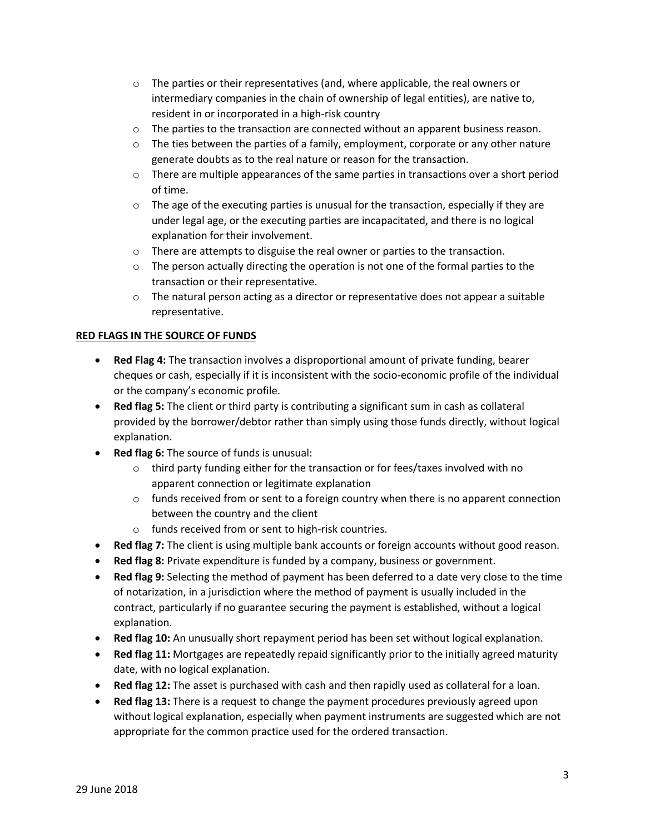- $\circ$  The parties or their representatives (and, where applicable, the real owners or intermediary companies in the chain of ownership of legal entities), are native to, resident in or incorporated in a high-risk country
- $\circ$  The parties to the transaction are connected without an apparent business reason.
- $\circ$  The ties between the parties of a family, employment, corporate or any other nature generate doubts as to the real nature or reason for the transaction.
- $\circ$  There are multiple appearances of the same parties in transactions over a short period of time.
- $\circ$  The age of the executing parties is unusual for the transaction, especially if they are under legal age, or the executing parties are incapacitated, and there is no logical explanation for their involvement.
- $\circ$  There are attempts to disguise the real owner or parties to the transaction.
- $\circ$  The person actually directing the operation is not one of the formal parties to the transaction or their representative.
- $\circ$  The natural person acting as a director or representative does not appear a suitable representative.

### **RED FLAGS IN THE SOURCE OF FUNDS**

- **Red Flag 4:** The transaction involves a disproportional amount of private funding, bearer cheques or cash, especially if it is inconsistent with the socio-economic profile of the individual or the company's economic profile.
- **Red flag 5:** The client or third party is contributing a significant sum in cash as collateral provided by the borrower/debtor rather than simply using those funds directly, without logical explanation.
- **Red flag 6:** The source of funds is unusual:
	- o third party funding either for the transaction or for fees/taxes involved with no apparent connection or legitimate explanation
	- $\circ$  funds received from or sent to a foreign country when there is no apparent connection between the country and the client
	- o funds received from or sent to high-risk countries.
- **Red flag 7:** The client is using multiple bank accounts or foreign accounts without good reason.
- **Red flag 8:** Private expenditure is funded by a company, business or government.
- **Red flag 9:** Selecting the method of payment has been deferred to a date very close to the time of notarization, in a jurisdiction where the method of payment is usually included in the contract, particularly if no guarantee securing the payment is established, without a logical explanation.
- **Red flag 10:** An unusually short repayment period has been set without logical explanation.
- **Red flag 11:** Mortgages are repeatedly repaid significantly prior to the initially agreed maturity date, with no logical explanation.
- **Red flag 12:** The asset is purchased with cash and then rapidly used as collateral for a loan.
- **Red flag 13:** There is a request to change the payment procedures previously agreed upon without logical explanation, especially when payment instruments are suggested which are not appropriate for the common practice used for the ordered transaction.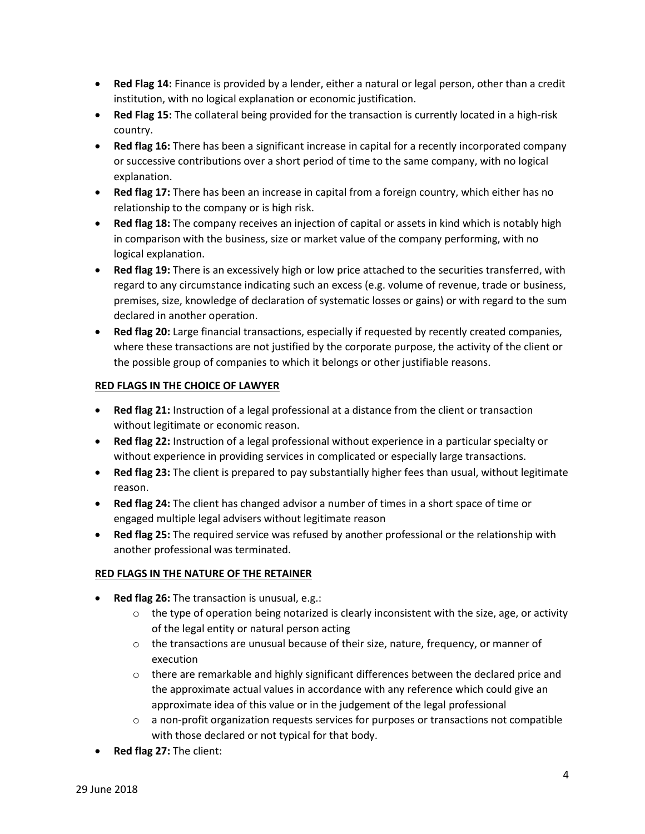- **Red Flag 14:** Finance is provided by a lender, either a natural or legal person, other than a credit institution, with no logical explanation or economic justification.
- **Red Flag 15:** The collateral being provided for the transaction is currently located in a high-risk country.
- **Red flag 16:** There has been a significant increase in capital for a recently incorporated company or successive contributions over a short period of time to the same company, with no logical explanation.
- **Red flag 17:** There has been an increase in capital from a foreign country, which either has no relationship to the company or is high risk.
- **Red flag 18:** The company receives an injection of capital or assets in kind which is notably high in comparison with the business, size or market value of the company performing, with no logical explanation.
- **Red flag 19:** There is an excessively high or low price attached to the securities transferred, with regard to any circumstance indicating such an excess (e.g. volume of revenue, trade or business, premises, size, knowledge of declaration of systematic losses or gains) or with regard to the sum declared in another operation.
- **Red flag 20:** Large financial transactions, especially if requested by recently created companies, where these transactions are not justified by the corporate purpose, the activity of the client or the possible group of companies to which it belongs or other justifiable reasons.

## **RED FLAGS IN THE CHOICE OF LAWYER**

- **Red flag 21:** Instruction of a legal professional at a distance from the client or transaction without legitimate or economic reason.
- **Red flag 22:** Instruction of a legal professional without experience in a particular specialty or without experience in providing services in complicated or especially large transactions.
- **Red flag 23:** The client is prepared to pay substantially higher fees than usual, without legitimate reason.
- **Red flag 24:** The client has changed advisor a number of times in a short space of time or engaged multiple legal advisers without legitimate reason
- **Red flag 25:** The required service was refused by another professional or the relationship with another professional was terminated.

## **RED FLAGS IN THE NATURE OF THE RETAINER**

- Red flag 26: The transaction is unusual, e.g.:
	- $\circ$  the type of operation being notarized is clearly inconsistent with the size, age, or activity of the legal entity or natural person acting
	- $\circ$  the transactions are unusual because of their size, nature, frequency, or manner of execution
	- $\circ$  there are remarkable and highly significant differences between the declared price and the approximate actual values in accordance with any reference which could give an approximate idea of this value or in the judgement of the legal professional
	- $\circ$  a non-profit organization requests services for purposes or transactions not compatible with those declared or not typical for that body.
- **Red flag 27:** The client: